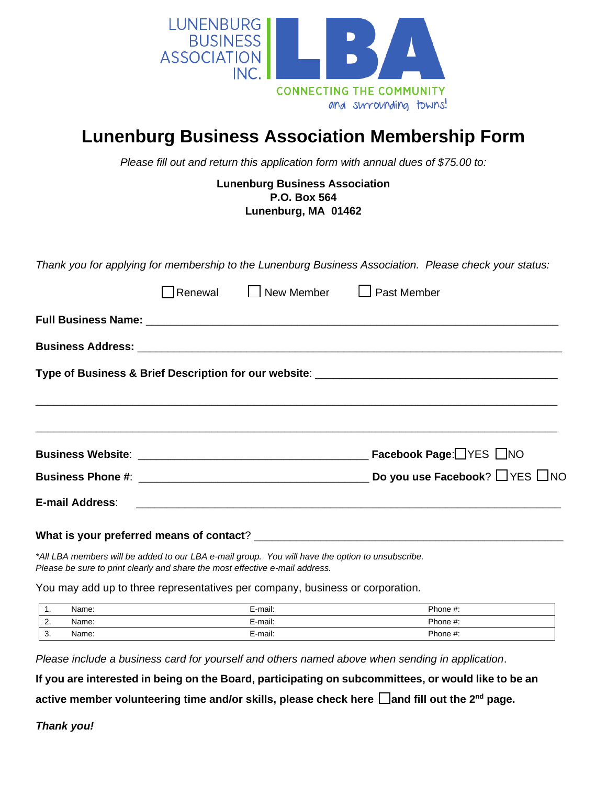

## **Lunenburg Business Association Membership Form**

*Please fill out and return this application form with annual dues of \$75.00 to:*

#### **Lunenburg Business Association P.O. Box 564 Lunenburg, MA 01462**

*Thank you for applying for membership to the Lunenburg Business Association. Please check your status:*

|  |  | $\sqrt{\phantom{a}}$ Renewal $\qquad \Box$ New Member $\qquad \Box$ Past Member |                                                                                                                |  |  |  |  |
|--|--|---------------------------------------------------------------------------------|----------------------------------------------------------------------------------------------------------------|--|--|--|--|
|  |  |                                                                                 |                                                                                                                |  |  |  |  |
|  |  |                                                                                 |                                                                                                                |  |  |  |  |
|  |  |                                                                                 |                                                                                                                |  |  |  |  |
|  |  |                                                                                 |                                                                                                                |  |  |  |  |
|  |  |                                                                                 |                                                                                                                |  |  |  |  |
|  |  |                                                                                 |                                                                                                                |  |  |  |  |
|  |  |                                                                                 |                                                                                                                |  |  |  |  |
|  |  |                                                                                 | E-mail Address: 2008 2009 2009 2009 2010 2021 2030 2040 2050 2061 2071 2080 2081 2082 2083 2084 2085 2086 2087 |  |  |  |  |
|  |  |                                                                                 |                                                                                                                |  |  |  |  |

#### What is your preferred means of contact?

*\*All LBA members will be added to our LBA e-mail group. You will have the option to unsubscribe. Please be sure to print clearly and share the most effective e-mail address.*

You may add up to three representatives per company, business or corporation.

| . .              | Name: | E-mail: | Phone #: |
|------------------|-------|---------|----------|
| <u>.</u>         | Name: | E-mail: | Phone #: |
| $\sqrt{2}$<br>.ن | Name: | E-mail: | Phone #: |

*Please include a business card for yourself and others named above when sending in application*.

**If you are interested in being on the Board, participating on subcommittees, or would like to be an** 

**active member volunteering time and/or skills, please check here □and fill out the 2<sup>nd</sup> page.** 

*Thank you!*